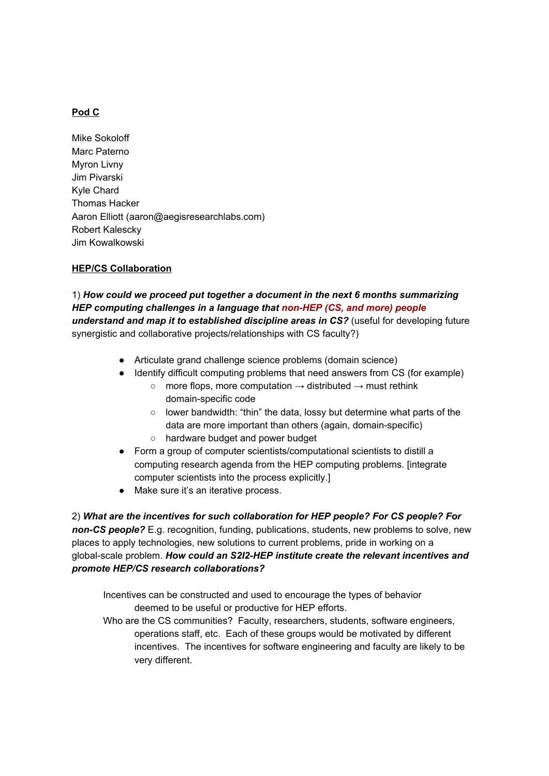## **Pod C**

Mike Sokoloff Marc Paterno Myron Livny Jim Pivarski Kyle Chard Thomas Hacker Aaron Elliott (aaron@aegisresearchlabs.com) Robert Kalescky Jim Kowalkowski

## **HEP/CS Collaboration**

1) *How could we proceed put together a document in the next 6 months summarizing HEP computing challenges in a language that non-HEP (CS, and more) people understand and map it to established disciplin e areas in CS?* (useful for developing future synergistic and collaborative projects/relationships with CS faculty?)

- Articulate grand challenge science problems (domain science)
- Identify difficult computing problems that need answers from CS (for example)
	- $\circ$  more flops, more computation  $\rightarrow$  distributed  $\rightarrow$  must rethink domain-specific code
	- lower bandwidth: "thin" the data, lossy but determine what parts of the data are more important than others (again, domain-specific) ○ hardware budget and power budget
- Form a group of computer scientists/computational scientists to distill a computing research agenda from the HEP computing problems. [integrate computer scientists into the process explicitly.]
- Make sure it's an iterative process.

2) *What are the incentives for such collaboration for HEP people? For CS people? For non-CS people?* E.g. recognition, funding, publications, students, new problems to solve, new places to apply technologies, new solutions to current problems, pride in working on a global-scale problem. *How could an S2I2-HEP institute create the relevant incentives and promote HEP/CS research collaborations?*

Incentives can be constructed and used to encourage the types of behavior deemed to be useful or productive for HEP efforts.

Who are the CS communities? Faculty, researchers, students, software engineers, operations staff, etc. Each of these groups would be motivated by different incentives. The incentives for software engineering and faculty are likely to be very different.